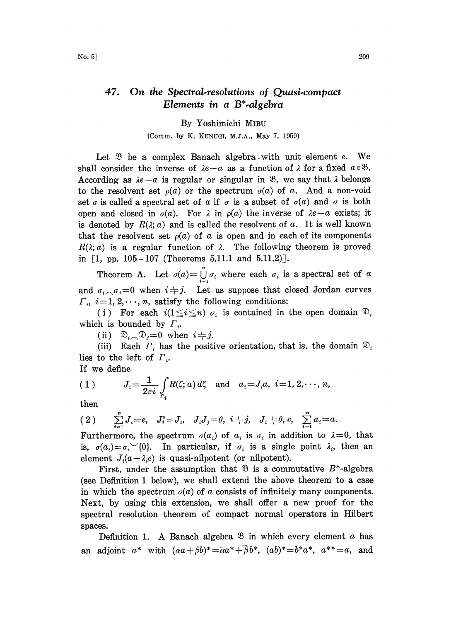## 47. On the Spectral-resolutions of Quasi-compact Elements in a  $B^*$ -algebra

By Yoshimichi MIBU

(Comm. by K. KUNUGI, M.J.A., May 7, 1959)

Let  $\mathfrak B$  be a complex Banach algebra with unit element  $e$ . We shall consider the inverse of  $\lambda e-a$  as a function of  $\lambda$  for a fixed  $a \in \mathcal{B}$ . According as  $\lambda e-a$  is regular or singular in  $\mathcal{B}$ , we say that  $\lambda$  belongs to the resolvent set  $\rho(a)$  or the spectrum  $\sigma(a)$  of a. And a non-void set  $\sigma$  is called a spectral set of  $\alpha$  if  $\sigma$  is a subset of  $\sigma(\alpha)$  and  $\sigma$  is both open and closed in  $\sigma(a)$ . For  $\lambda$  in  $\rho(a)$  the inverse of  $\lambda e-a$  exists; it is denoted by  $R(\lambda; a)$  and is called the resolvent of a. It is well known that the resolvent set  $\rho(a)$  of a is open and in each of its components  $R(\lambda; a)$  is a regular function of  $\lambda$ . The following theorem is proved in  $[1, pp. 105-107$  (Theorems 5.11.1 and 5.11.2).

Theorem A. Let  $\sigma(a) = \int_{i=1}^{n} \sigma_i$  where each  $\sigma_i$  is a spectral set of a and  $\sigma_i \sim \sigma_j = 0$  when  $i \neq j$ . Let us suppose that closed Jordan curves  $\Gamma_i$ ,  $i=1, 2, \dots, n$ , satisfy the following conditions:

(i) For each  $i(1 \leq i \leq n)$   $\sigma_i$  is contained in the open domain  $\mathfrak{D}_i$ which is bounded by  $\Gamma_i$ .

(ii)  $\mathfrak{D}_{i} \cap \mathfrak{D}_{j} = 0$  when  $i \neq j$ .

(iii) Each  $\Gamma_i$  has the positive orientation, that is, the domain  $\mathfrak{D}_i$ lies to the left of  $\Gamma$ .

If we define

(1) 
$$
J_i = \frac{1}{2\pi i} \int_{r_i} R(\zeta; a) d\zeta
$$
 and  $a_i = J_i a, i = 1, 2, \dots, n$ 

then

$$
(2) \qquad \sum_{i=1}^{n} J_i = e, \quad J_i^2 = J_i, \quad J_i J_j = \theta, \quad i \neq j, \quad J_i \neq \theta, e, \quad \sum_{i=1}^{n} a_i = a.
$$

Furthermore, the spectrum  $\sigma(a_i)$  of  $a_i$  is  $\sigma_i$  in addition to  $\lambda = 0$ , that is,  $\sigma(a_i) = \sigma_i$  (0). In particular, if  $\sigma_i$  is a single point  $\lambda_i$ , then an element  $J_i(a-\lambda_i e)$  is quasi-nilpotent (or nilpotent).

First, under the assumption that  $\mathfrak{B}$  is a commutative  $B^*$ -algebra (see Definition <sup>I</sup> below), we shall extend the above theorem to a case in which the spectrum  $\sigma(a)$  of a consists of infinitely many components. Next, by using this extension, we shall offer a new proof for the spectral resolution theorem of compact normal operators in Hilbert spaces.

Definition 1. A Banach algebra  $\mathcal{B}$  in which every element a has an adjoint  $a^*$  with  $(\alpha a+\beta b)^*=\overline{\alpha}a^*+\overline{\beta}b^*$ ,  $(ab)^*=b^*a^*$ ,  $a^{**}=a$ , and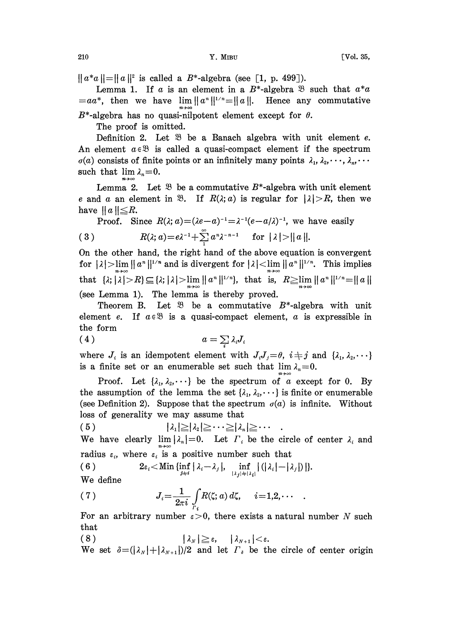$||a^*a|| = ||a||^2$  is called a  $B^*$ -algebra (see [1, p. 499]).

Lemma 1. If a is an element in a  $B^*$ -algebra  $\mathcal B$  such that  $a^*a$  $=aa^*$ , then we have  $\lim ||a^n||^{1/n} = ||a||$ . Hence any commutative  $B^*$ -algebra has no quasi-nilpotent element except for  $\theta$ .

The proof is omitted.

Definition 2. Let  $\mathfrak{B}$  be a Banach algebra with unit element e. An element  $a \in \mathcal{B}$  is called a quasi-compact element if the spectrum  $\sigma(a)$  consists of finite points or an infinitely many points  $\lambda_1, \lambda_2, \dots, \lambda_n, \dots$ such that  $\lim_{n \to \infty} \lambda_n = 0$ .

Lemma 2. Let  $\mathfrak{B}$  be a commutative  $B^*$ -algebra with unit element e and a an element in  $\mathfrak{B}$ . If  $R(\lambda; a)$  is regular for  $|\lambda| > R$ , then we have  $||a|| \leq R$ .

Proof. Since 
$$
R(\lambda; a) = (\lambda e - a)^{-1} = \lambda^{-1} (e - a/\lambda)^{-1}
$$
, we have easily  
\n(3)  $R(\lambda; a) = e\lambda^{-1} + \sum_{1}^{\infty} a^n \lambda^{-n-1}$  for  $|\lambda| > ||a||$ .

(3)  $R(\lambda; \alpha) = e^{\lambda^{-1}} + \sum_{i} \alpha^{n} \lambda^{-n-1}$  for  $|\lambda| > ||\alpha||$ .<br>On the other hand, the right hand of the above equation is convergent for  $|\lambda| > \lim_{n \to \infty} ||a^n||^{1/n}$  and is divergent for  $|\lambda| < \lim_{n \to \infty} ||a^n||^{1/n}$ . This implies that  $\{x; |\lambda| > R\} \subseteq \{x; |\lambda| > \lim_{n\to\infty} ||a^n||^{1/n}\},\$  that is,  $R \ge \lim_{n\to\infty} ||a^n||^{1/n} = ||a||$ (see Lemma 1). The lemma is thereby proved.

Theorem B. Let  $\mathfrak{B}$  be a commutative  $B^*$ -algebra with unit element e. If  $a \in \mathcal{B}$  is a quasi-compact element, a is expressible in the form

$$
(4) \t\t a = \sum_i \lambda_i J
$$

where  $J_i$  is an idempotent element with  $J_iJ_j=\theta$ ,  $i\neq j$  and  $\{\lambda_1,\lambda_2,\cdots\}$ is a finite set or an enumerable set such that  $\lim_{n \to \infty} \lambda_n = 0$ .

Proof. Let  $\{\lambda_1, \lambda_2, \dots\}$  be the spectrum of a except for 0. By the assumption of the lemma the set  $\{\lambda_1, \lambda_2, \dots\}$  is finite or enumerable (see Definition 2). Suppose that the spectrum  $\sigma(a)$  is infinite. Without loss of generality we may assume that

 $|\lambda_1| \geq |\lambda_2| \geq \cdots \geq |\lambda_n| \geq \cdots$ (5) We have clearly  $\lim_{n\to\infty} |\lambda_n|=0$ . Let  $\Gamma_i$  be the circle of center  $\lambda_i$  and

radius  $\varepsilon_i$ , where  $\varepsilon_i$  is a positive number such that

(6) 
$$
2\varepsilon_i < \text{Min }\{\inf_{j\neq i} |\lambda_i - \lambda_j|, \inf_{\lambda_j |i\neq |\lambda_j|} |(|\lambda_i| - |\lambda_j|)|\}.
$$

We define

(7) 
$$
J_i = \frac{1}{2\pi i} \int\limits_{\Gamma_i} R(\zeta; a) d\zeta, \quad i = 1, 2, \cdots
$$

For an arbitrary number  $\varepsilon > 0$ , there exists a natural number N such that

(8)  $|\lambda_N| \ge \varepsilon$ ,  $|\lambda_{N+1}| < \varepsilon$ .<br>We set  $\delta = (|\lambda_N| + |\lambda_{N+1}|)/2$  and let  $\Gamma_{\delta}$  be the circle of center origin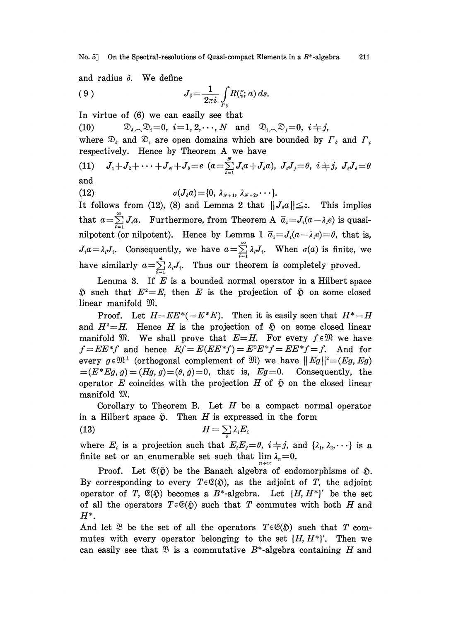No. 5] On the Spectral-resolutions of Quasi-compact Elements in a  $B^*$ -algebra 211

and radius  $\delta$ . We define

$$
(9) \t\t J_{\delta} = \frac{1}{2\pi i} \int\limits_{\Gamma_{\delta}} R(\zeta; a) ds.
$$

In virtue of (6) we can easily see that

(10)  $\mathfrak{D}_{i} \setminus \mathfrak{D}_{i} = 0, \ i = 1, 2, \cdots, N \text{ and } \mathfrak{D}_{i} \setminus \mathfrak{D}_{i} = 0, \ i \neq j,$ 

where  $\mathfrak{D}_i$  and  $\mathfrak{D}_i$  are open domains which are bounded by  $\Gamma_i$  and  $\Gamma_i$ respectively. Hence by Theorem A we have

(11) 
$$
J_1+J_2+\cdots+J_N+J_s=e
$$
  $(a=\sum_{i=1}^N J_i a+J_i a)$ ,  $J_iJ_j=0$ ,  $i \neq j$ ,  $J_iJ_i=0$   
and

$$
\frac{1}{4}a
$$

(12) 
$$
\sigma(J_{\delta}a) = \{0, \lambda_{N+1}, \lambda_{N+2}, \cdots\}.
$$

It follows from (12), (8) and Lemma 2 that  $||J_a a|| \leq \varepsilon$ . This implies that  $a=\sum_{i=1}^{\infty}J_i a$ . Furthermore, from Theorem A  $\bar{a}_i=J_i(a-\lambda_i e)$  is quasithat  $a = \sum_{i=1} J_i a$ . Furthermore, from Theorem A  $\bar{a}_i = J_i (a - \lambda_i e)$  is quasi-<br>nilpotent (or nilpotent). Hence by Lemma 1  $\bar{a}_i = J_i (a - \lambda_i e) = \theta$ , that is,<br> $J_i a = \lambda_i J_i$ . Consequently, we have  $a = \sum_{i=1}^{\infty} \lambda_i J_i$ . When  $\sigma$ nilpotent (or nilpotent). Hence by Lemma 1  $\bar{a}_i = J_i(a - \lambda_i e) = \theta$ , that is, have similarly  $a = \sum_{i=1}^{n} \lambda_i J_i$ . Thus our theorem is completely proved.

Lemma 3. If  $E$  is a bounded normal operator in a Hilbert space  $\delta$  such that  $E^2=E$ , then E is the projection of  $\delta$  on some closed linear manifold  $\mathfrak{M}$ .

Proof. Let  $H=EE^*(-E^*E)$ . Then it is easily seen that  $H^*=H$ and  $H^2=H$ . Hence H is the projection of  $\tilde{\phi}$  on some closed linear manifold  $\mathfrak{M}$ . We shall prove that  $E=H$ . For every  $f \in \mathfrak{M}$  we have  $f=E E^*f$  and hence  $Ef = E(E E^*f) = E^2 E^*f = E E^*f = f$ . And for every  $g \in \mathbb{R}^{\perp}$  (orthogonal complement of  $\mathbb{R}$ ) we have  $||Eg||^2 = (Eg, Eg)$  $=(E^*Eg, g) = (Hg, g) = (\theta, g) = 0$ , that is,  $Eg = 0$ . Consequently, the operator E coincides with the projection H of  $\mathfrak{D}$  on the closed linear manifold  $\mathfrak{M}$ .

Corollary to Theorem B. Let  $H$  be a compact normal operator in a Hilbert space  $\tilde{\varphi}$ . Then H is expressed in the form<br>
(13)  $H = \sum_i \lambda_i E_i$ 

$$
(13) \t\t H = \sum_{i} \lambda_i E_i
$$

where  $E_i$  is a projection such that  $E_i E_j = \theta$ ,  $i + j$ , and  $\{\lambda_1, \lambda_2, \dots\}$  is a finite set or an enumerable set such that  $\lim_{n \to \infty} \lambda_n = 0$ .

Proof. Let  $\mathfrak{E}(\mathfrak{H})$  be the Banach algebra of endomorphisms of  $\mathfrak{H}$ . By corresponding to every  $T \in \mathfrak{C}(\mathfrak{H})$ , as the adjoint of T, the adjoint operator of T,  $\mathfrak{E}(\mathfrak{H})$  becomes a B<sup>\*</sup>-algebra. Let  $\{H, H^*\}'$  be the set of all the operators  $T \in \mathfrak{E}(\mathfrak{H})$  such that T commutes with both H and  $H^*$ .

And let  $\mathfrak{B}$  be the set of all the operators  $T \in \mathfrak{C}(\mathfrak{H})$  such that T commutes with every operator belonging to the set  $\{H, H^*\}'$ . Then we can easily see that  $\mathfrak{B}$  is a commutative  $B^*$ -algebra containing H and